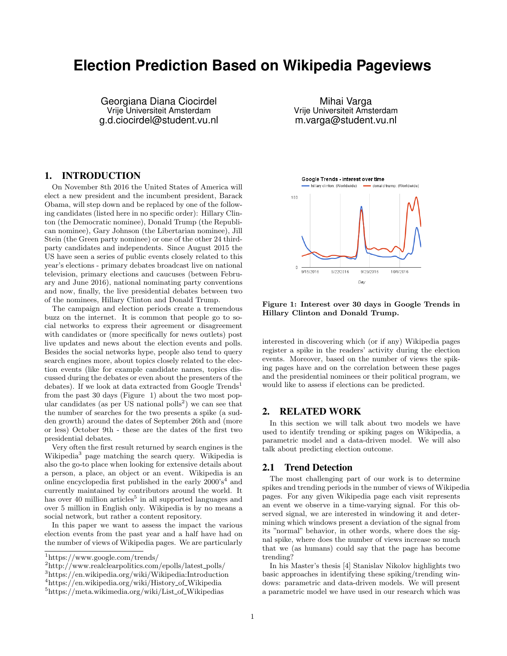# **Election Prediction Based on Wikipedia Pageviews**

Georgiana Diana Ciocirdel Vrije Universiteit Amsterdam g.d.ciocirdel@student.vu.nl

Mihai Varga Vrije Universiteit Amsterdam m.varga@student.vu.nl

## 1. INTRODUCTION

On November 8th 2016 the United States of America will elect a new president and the incumbent president, Barack Obama, will step down and be replaced by one of the following candidates (listed here in no specific order): Hillary Clinton (the Democratic nominee), Donald Trump (the Republican nominee), Gary Johnson (the Libertarian nominee), Jill Stein (the Green party nominee) or one of the other 24 thirdparty candidates and independents. Since August 2015 the US have seen a series of public events closely related to this year's elections - primary debates broadcast live on national television, primary elections and caucuses (between February and June 2016), national nominating party conventions and now, finally, the live presidential debates between two of the nominees, Hillary Clinton and Donald Trump.

The campaign and election periods create a tremendous buzz on the internet. It is common that people go to social networks to express their agreement or disagreement with candidates or (more specifically for news outlets) post live updates and news about the election events and polls. Besides the social networks hype, people also tend to query search engines more, about topics closely related to the election events (like for example candidate names, topics discussed during the debates or even about the presenters of the debates). If we look at data extracted from Google Trends<sup>1</sup> from the past 30 days (Figure 1) about the two most popular candidates (as per  $\overline{US}$  national polls<sup>2</sup>) we can see that the number of searches for the two presents a spike (a sudden growth) around the dates of September 26th and (more or less) October 9th - these are the dates of the first two presidential debates.

Very often the first result returned by search engines is the Wikipedia<sup>3</sup> page matching the search query. Wikipedia is also the go-to place when looking for extensive details about a person, a place, an object or an event. Wikipedia is an online encyclopedia first published in the early  $2000's<sup>4</sup>$  and currently maintained by contributors around the world. It has over 40 million articles<sup>5</sup> in all supported languages and over 5 million in English only. Wikipedia is by no means a social network, but rather a content repository.

In this paper we want to assess the impact the various election events from the past year and a half have had on the number of views of Wikipedia pages. We are particularly



Figure 1: Interest over 30 days in Google Trends in Hillary Clinton and Donald Trump.

interested in discovering which (or if any) Wikipedia pages register a spike in the readers' activity during the election events. Moreover, based on the number of views the spiking pages have and on the correlation between these pages and the presidential nominees or their political program, we would like to assess if elections can be predicted.

#### 2. RELATED WORK

In this section we will talk about two models we have used to identify trending or spiking pages on Wikipedia, a parametric model and a data-driven model. We will also talk about predicting election outcome.

#### 2.1 Trend Detection

The most challenging part of our work is to determine spikes and trending periods in the number of views of Wikipedia pages. For any given Wikipedia page each visit represents an event we observe in a time-varying signal. For this observed signal, we are interested in windowing it and determining which windows present a deviation of the signal from its "normal" behavior, in other words, where does the signal spike, where does the number of views increase so much that we (as humans) could say that the page has become trending?

In his Master's thesis [4] Stanislav Nikolov highlights two basic approaches in identifying these spiking/trending windows: parametric and data-driven models. We will present a parametric model we have used in our research which was

<sup>1</sup>https://www.google.com/trends/

 $^{2}$ http://www.realclearpolitics.com/epolls/latest\_polls/

<sup>3</sup>https://en.wikipedia.org/wiki/Wikipedia:Introduction

<sup>&</sup>lt;sup>4</sup>https://en.wikipedia.org/wiki/History\_of\_Wikipedia

 $5$ https://meta.wikimedia.org/wiki/List\_of\_Wikipedias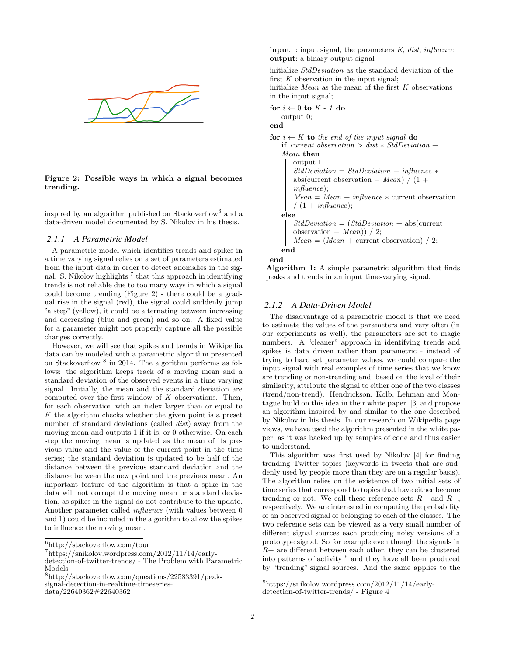

#### Figure 2: Possible ways in which a signal becomes trending.

inspired by an algorithm published on Stackoverflow<sup>6</sup> and a data-driven model documented by S. Nikolov in his thesis.

#### *2.1.1 A Parametric Model*

A parametric model which identifies trends and spikes in a time varying signal relies on a set of parameters estimated from the input data in order to detect anomalies in the signal. S. Nikolov highlights<sup>7</sup> that this approach in identifying trends is not reliable due to too many ways in which a signal could become trending (Figure 2) - there could be a gradual rise in the signal (red), the signal could suddenly jump "a step" (yellow), it could be alternating between increasing and decreasing (blue and green) and so on. A fixed value for a parameter might not properly capture all the possible changes correctly.

However, we will see that spikes and trends in Wikipedia data can be modeled with a parametric algorithm presented on Stackoverflow<sup>8</sup> in 2014. The algorithm performs as follows: the algorithm keeps track of a moving mean and a standard deviation of the observed events in a time varying signal. Initially, the mean and the standard deviation are computed over the first window of  $K$  observations. Then, for each observation with an index larger than or equal to K the algorithm checks whether the given point is a preset number of standard deviations (called dist) away from the moving mean and outputs 1 if it is, or 0 otherwise. On each step the moving mean is updated as the mean of its previous value and the value of the current point in the time series; the standard deviation is updated to be half of the distance between the previous standard deviation and the distance between the new point and the previous mean. An important feature of the algorithm is that a spike in the data will not corrupt the moving mean or standard deviation, as spikes in the signal do not contribute to the update. Another parameter called influence (with values between 0 and 1) could be included in the algorithm to allow the spikes to influence the moving mean.

**input** : input signal, the parameters  $K$ , dist, influence output: a binary output signal

initialize StdDeviation as the standard deviation of the first  $K$  observation in the input signal; initialize *Mean* as the mean of the first  $K$  observations in the input signal;

for  $i \leftarrow 0$  to  $K - 1$  do output 0; end for  $i \leftarrow K$  to the end of the input signal do if current observation > dist  $\ast$  StdDeviation + Mean then output 1;  $StdDeviation = StdDeviation + influence *$ abs(current observation – Mean) /  $(1 +$ influence);  $Mean = Mean + influence * current observation$  $/ (1 + influence);$ else  $StdDeviation = (StdDeviation + abs(current$ observation  $-$  Mean))  $/$  2;  $Mean = (Mean + current observation) / 2$ ; end



Algorithm 1: A simple parametric algorithm that finds peaks and trends in an input time-varying signal.

#### *2.1.2 A Data-Driven Model*

The disadvantage of a parametric model is that we need to estimate the values of the parameters and very often (in our experiments as well), the parameters are set to magic numbers. A "cleaner" approach in identifying trends and spikes is data driven rather than parametric - instead of trying to hard set parameter values, we could compare the input signal with real examples of time series that we know are trending or non-trending and, based on the level of their similarity, attribute the signal to either one of the two classes (trend/non-trend). Hendrickson, Kolb, Lehman and Montague build on this idea in their white paper [3] and propose an algorithm inspired by and similar to the one described by Nikolov in his thesis. In our research on Wikipedia page views, we have used the algorithm presented in the white paper, as it was backed up by samples of code and thus easier to understand.

This algorithm was first used by Nikolov [4] for finding trending Twitter topics (keywords in tweets that are suddenly used by people more than they are on a regular basis). The algorithm relies on the existence of two initial sets of time series that correspond to topics that have either become trending or not. We call these reference sets  $R+$  and  $R-$ , respectively. We are interested in computing the probability of an observed signal of belonging to each of the classes. The two reference sets can be viewed as a very small number of different signal sources each producing noisy versions of a prototype signal. So for example even though the signals in  $R+$  are different between each other, they can be clustered into patterns of activity <sup>9</sup> and they have all been produced by "trending" signal sources. And the same applies to the

 $6$ http://stackoverflow.com/tour

 $^{7}$ https://snikolov.wordpress.com/2012/11/14/early-

detection-of-twitter-trends/ - The Problem with Parametric Models

 ${\rm ^8http://stackoverflow.com/questions/22583391/peak}$ signal-detection-in-realtime-timeseries-

data/22640362#22640362

<sup>9</sup>https://snikolov.wordpress.com/2012/11/14/earlydetection-of-twitter-trends/ - Figure 4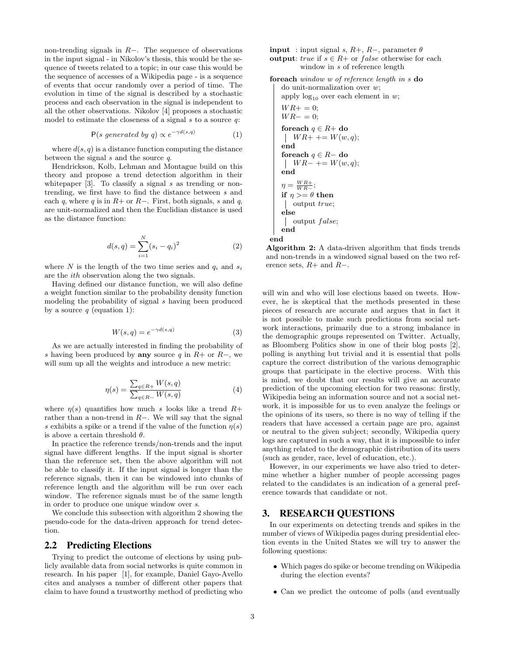non-trending signals in R−. The sequence of observations in the input signal - in Nikolov's thesis, this would be the sequence of tweets related to a topic; in our case this would be the sequence of accesses of a Wikipedia page - is a sequence of events that occur randomly over a period of time. The evolution in time of the signal is described by a stochastic process and each observation in the signal is independent to all the other observations. Nikolov [4] proposes a stochastic model to estimate the closeness of a signal  $s$  to a source  $q$ :

$$
P(s \ generated \ by \ q) \propto e^{-\gamma d(s,q)} \tag{1}
$$

where  $d(s, q)$  is a distance function computing the distance between the signal  $s$  and the source  $q$ .

Hendrickson, Kolb, Lehman and Montague build on this theory and propose a trend detection algorithm in their whitepaper  $[3]$ . To classify a signal s as trending or nontrending, we first have to find the distance between s and each q, where q is in  $R+$  or  $R-$ . First, both signals, s and q, are unit-normalized and then the Euclidian distance is used as the distance function:

$$
d(s,q) = \sum_{i=1}^{N} (s_i - q_i)^2
$$
 (2)

where N is the length of the two time series and  $q_i$  and  $s_i$ are the ith observation along the two signals.

Having defined our distance function, we will also define a weight function similar to the probability density function modeling the probability of signal s having been produced by a source  $q$  (equation 1):

$$
W(s,q) = e^{-\gamma d(s,q)}\tag{3}
$$

As we are actually interested in finding the probability of s having been produced by **any** source q in  $R+$  or  $R-$ , we will sum up all the weights and introduce a new metric:

$$
\eta(s) = \frac{\sum_{q \in R+} W(s, q)}{\sum_{q \in R-} W(s, q)} \tag{4}
$$

where  $\eta(s)$  quantifies how much s looks like a trend  $R+$ rather than a non-trend in R−. We will say that the signal s exhibits a spike or a trend if the value of the function  $\eta(s)$ is above a certain threshold  $\theta$ .

In practice the reference trends/non-trends and the input signal have different lengths. If the input signal is shorter than the reference set, then the above algorithm will not be able to classify it. If the input signal is longer than the reference signals, then it can be windowed into chunks of reference length and the algorithm will be run over each window. The reference signals must be of the same length in order to produce one unique window over s.

We conclude this subsection with algorithm 2 showing the pseudo-code for the data-driven approach for trend detection.

#### 2.2 Predicting Elections

Trying to predict the outcome of elections by using publicly available data from social networks is quite common in research. In his paper [1], for example, Daniel Gayo-Avello cites and analyses a number of different other papers that claim to have found a trustworthy method of predicting who **input** : input signal s,  $R+$ ,  $R-$ , parameter  $\theta$ output: true if  $s \in R$ + or false otherwise for each window in s of reference length

```
foreach window w of reference length in s do
   do unit-normalization over w;
   apply log_{10} over each element in w;
   WR+ = 0;WR - = 0;foreach q \in R+ do
    \vert WR+ \vert = W(w, q);end
   foreach q \in R- do
    W R - += W(w, q);end
    \eta = \frac{W R + 1}{W R - 1}if \eta >= \theta then
    output true;
   else
    \vert output false;
   end
end
```
Algorithm 2: A data-driven algorithm that finds trends and non-trends in a windowed signal based on the two reference sets,  $R+$  and  $R-$ .

will win and who will lose elections based on tweets. However, he is skeptical that the methods presented in these pieces of research are accurate and argues that in fact it is not possible to make such predictions from social network interactions, primarily due to a strong imbalance in the demographic groups represented on Twitter. Actually, as Bloomberg Politics show in one of their blog posts [2], polling is anything but trivial and it is essential that polls capture the correct distribution of the various demographic groups that participate in the elective process. With this is mind, we doubt that our results will give an accurate prediction of the upcoming election for two reasons: firstly, Wikipedia being an information source and not a social network, it is impossible for us to even analyze the feelings or the opinions of its users, so there is no way of telling if the readers that have accessed a certain page are pro, against or neutral to the given subject; secondly, Wikipedia query logs are captured in such a way, that it is impossible to infer anything related to the demographic distribution of its users (such as gender, race, level of education, etc.).

However, in our experiments we have also tried to determine whether a higher number of people accessing pages related to the candidates is an indication of a general preference towards that candidate or not.

## 3. RESEARCH QUESTIONS

In our experiments on detecting trends and spikes in the number of views of Wikipedia pages during presidential election events in the United States we will try to answer the following questions:

- Which pages do spike or become trending on Wikipedia during the election events?
- Can we predict the outcome of polls (and eventually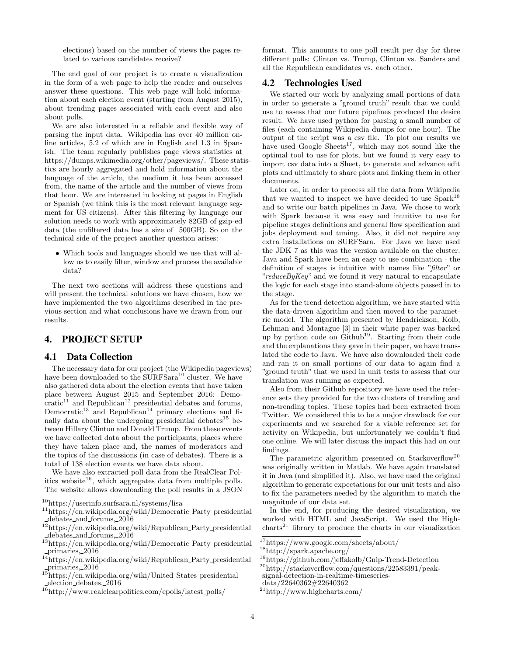elections) based on the number of views the pages related to various candidates receive?

The end goal of our project is to create a visualization in the form of a web page to help the reader and ourselves answer these questions. This web page will hold information about each election event (starting from August 2015), about trending pages associated with each event and also about polls.

We are also interested in a reliable and flexible way of parsing the input data. Wikipedia has over 40 million online articles, 5.2 of which are in English and 1.3 in Spanish. The team regularly publishes page views statistics at https://dumps.wikimedia.org/other/pageviews/. These statistics are hourly aggregated and hold information about the language of the article, the medium it has been accessed from, the name of the article and the number of views from that hour. We are interested in looking at pages in English or Spanish (we think this is the most relevant language segment for US citizens). After this filtering by language our solution needs to work with approximately 82GB of gzip-ed data (the unfiltered data has a size of 500GB). So on the technical side of the project another question arises:

• Which tools and languages should we use that will allow us to easily filter, window and process the available data?

The next two sections will address these questions and will present the technical solutions we have chosen, how we have implemented the two algorithms described in the previous section and what conclusions have we drawn from our results.

# 4. PROJECT SETUP

#### 4.1 Data Collection

The necessary data for our project (the Wikipedia pageviews) have been downloaded to the SURFSara<sup>10</sup> cluster. We have also gathered data about the election events that have taken place between August 2015 and September 2016: Demo $cratic<sup>11</sup>$  and Republican<sup>12</sup> presidential debates and forums,  $Democratic<sup>13</sup>$  and Republican<sup>14</sup> primary elections and finally data about the undergoing presidential debates $15$  between Hillary Clinton and Donald Trump. From these events we have collected data about the participants, places where they have taken place and, the names of moderators and the topics of the discussions (in case of debates). There is a total of 138 election events we have data about.

We have also extracted poll data from the RealClear Politics website<sup>16</sup>, which aggregates data from multiple polls. The website allows downloading the poll results in a JSON format. This amounts to one poll result per day for three different polls: Clinton vs. Trump, Clinton vs. Sanders and all the Republican candidates vs. each other.

#### 4.2 Technologies Used

We started our work by analyzing small portions of data in order to generate a "ground truth" result that we could use to assess that our future pipelines produced the desire result. We have used python for parsing a small number of files (each containing Wikipedia dumps for one hour). The output of the script was a csv file. To plot our results we have used Google  $\text{Sheets}^{17}$ , which may not sound like the optimal tool to use for plots, but we found it very easy to import csv data into a Sheet, to generate and advance edit plots and ultimately to share plots and linking them in other documents.

Later on, in order to process all the data from Wikipedia that we wanted to inspect we have decided to use  $\text{Spark}^{18}$ and to write our batch pipelines in Java. We chose to work with Spark because it was easy and intuitive to use for pipeline stages definitions and general flow specification and jobs deployment and tuning. Also, it did not require any extra installations on SURFSara. For Java we have used the JDK 7 as this was the version available on the cluster. Java and Spark have been an easy to use combination - the definition of stages is intuitive with names like "filter" or  $"reduceByKey"$  and we found it very natural to encapsulate the logic for each stage into stand-alone objects passed in to the stage.

As for the trend detection algorithm, we have started with the data-driven algorithm and then moved to the parametric model. The algorithm presented by Hendrickson, Kolb, Lehman and Montague [3] in their white paper was backed up by python code on Github<sup>19</sup>. Starting from their code and the explanations they gave in their paper, we have translated the code to Java. We have also downloaded their code and ran it on small portions of our data to again find a "ground truth" that we used in unit tests to assess that our translation was running as expected.

Also from their Github repository we have used the reference sets they provided for the two clusters of trending and non-trending topics. These topics had been extracted from Twitter. We considered this to be a major drawback for our experiments and we searched for a viable reference set for activity on Wikipedia, but unfortunately we couldn't find one online. We will later discuss the impact this had on our findings.

The parametric algorithm presented on Stackoverflow<sup>20</sup> was originally written in Matlab. We have again translated it in Java (and simplified it). Also, we have used the original algorithm to generate expectations for our unit tests and also to fix the parameters needed by the algorithm to match the magnitude of our data set.

In the end, for producing the desired visualization, we worked with HTML and JavaScript. We used the High- $\text{charts}^{21}$  library to produce the charts in our visualization

<sup>10</sup>https://userinfo.surfsara.nl/systems/lisa

<sup>&</sup>lt;sup>11</sup>https://en.wikipedia.org/wiki/Democratic\_Party\_presidential debates and forums, 2016

 $12$ https://en.wikipedia.org/wiki/Republican\_Party\_presidential debates and forums, 2016

 $\rm ^{13}$ https://en.wikipedia.org/wiki/Democratic\_Party\_presidential primaries, 2016

<sup>&</sup>lt;sup>14</sup>https://en.wikipedia.org/wiki/Republican\_Party\_presidential primaries, 2016

<sup>&</sup>lt;sup>15</sup>https://en.wikipedia.org/wiki/United\_States\_presidential election debates, 2016

<sup>16</sup>http://www.realclearpolitics.com/epolls/latest polls/

 $17$ https://www.google.com/sheets/about/

<sup>18</sup>http://spark.apache.org/

<sup>19</sup>https://github.com/jeffakolb/Gnip-Trend-Detection  $^{20}$ http://stackoverflow.com/questions/22583391/peaksignal-detection-in-realtime-timeseriesdata/22640362#22640362

<sup>21</sup>http://www.highcharts.com/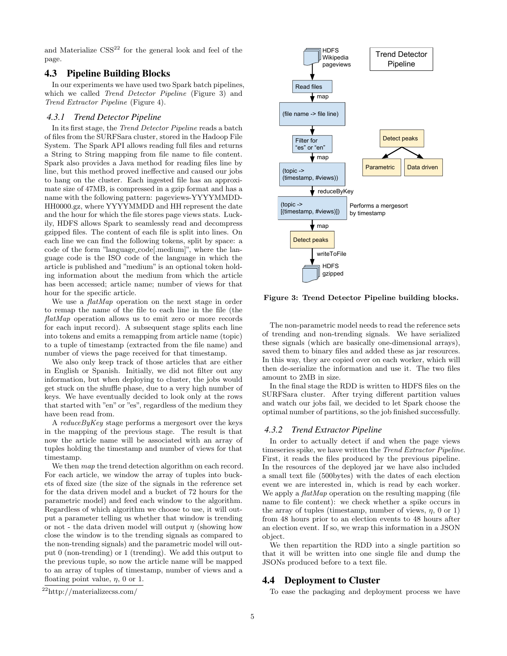and Materialize  $\text{CSS}^{22}$  for the general look and feel of the page.

## 4.3 Pipeline Building Blocks

In our experiments we have used two Spark batch pipelines, which we called *Trend Detector Pipeline* (Figure 3) and Trend Extractor Pipeline (Figure 4).

#### *4.3.1 Trend Detector Pipeline*

In its first stage, the Trend Detector Pipeline reads a batch of files from the SURFSara cluster, stored in the Hadoop File System. The Spark API allows reading full files and returns a String to String mapping from file name to file content. Spark also provides a Java method for reading files line by line, but this method proved ineffective and caused our jobs to hang on the cluster. Each ingested file has an approximate size of 47MB, is compressed in a gzip format and has a name with the following pattern: pageviews-YYYYMMDD-HH0000.gz, where YYYYMMDD and HH represent the date and the hour for which the file stores page views stats. Luckily, HDFS allows Spark to seamlessly read and decompress gzipped files. The content of each file is split into lines. On each line we can find the following tokens, split by space: a code of the form "language code[.medium]", where the language code is the ISO code of the language in which the article is published and "medium" is an optional token holding information about the medium from which the article has been accessed; article name; number of views for that hour for the specific article.

We use a  $\text{flatMap}$  operation on the next stage in order to remap the name of the file to each line in the file (the  $flatMap$  operation allows us to emit zero or more records for each input record). A subsequent stage splits each line into tokens and emits a remapping from article name (topic) to a tuple of timestamp (extracted from the file name) and number of views the page received for that timestamp.

We also only keep track of those articles that are either in English or Spanish. Initially, we did not filter out any information, but when deploying to cluster, the jobs would get stuck on the shuffle phase, due to a very high number of keys. We have eventually decided to look only at the rows that started with "en" or "es", regardless of the medium they have been read from.

A  $reduceByKey$  stage performs a mergesort over the keys in the mapping of the previous stage. The result is that now the article name will be associated with an array of tuples holding the timestamp and number of views for that timestamp.

We then map the trend detection algorithm on each record. For each article, we window the array of tuples into buckets of fixed size (the size of the signals in the reference set for the data driven model and a bucket of 72 hours for the parametric model) and feed each window to the algorithm. Regardless of which algorithm we choose to use, it will output a parameter telling us whether that window is trending or not - the data driven model will output  $\eta$  (showing how close the window is to the trending signals as compared to the non-trending signals) and the parametric model will output 0 (non-trending) or 1 (trending). We add this output to the previous tuple, so now the article name will be mapped to an array of tuples of timestamp, number of views and a floating point value,  $\eta$ , 0 or 1.



Figure 3: Trend Detector Pipeline building blocks.

The non-parametric model needs to read the reference sets of trending and non-trending signals. We have serialized these signals (which are basically one-dimensional arrays), saved them to binary files and added these as jar resources. In this way, they are copied over on each worker, which will then de-serialize the information and use it. The two files amount to 2MB in size.

In the final stage the RDD is written to HDFS files on the SURFSara cluster. After trying different partition values and watch our jobs fail, we decided to let Spark choose the optimal number of partitions, so the job finished successfully.

#### *4.3.2 Trend Extractor Pipeline*

In order to actually detect if and when the page views timeseries spike, we have written the Trend Extractor Pipeline. First, it reads the files produced by the previous pipeline. In the resources of the deployed jar we have also included a small text file (500bytes) with the dates of each election event we are interested in, which is read by each worker. We apply a  $\mathit{flatMap}$  operation on the resulting mapping (file name to file content): we check whether a spike occurs in the array of tuples (timestamp, number of views,  $\eta$ , 0 or 1) from 48 hours prior to an election events to 48 hours after an election event. If so, we wrap this information in a JSON object.

We then repartition the RDD into a single partition so that it will be written into one single file and dump the JSONs produced before to a text file.

## 4.4 Deployment to Cluster

To ease the packaging and deployment process we have

<sup>22</sup>http://materializecss.com/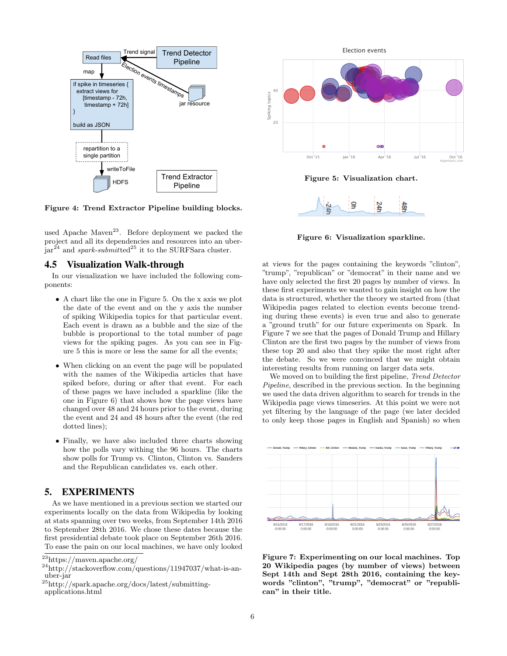

Figure 4: Trend Extractor Pipeline building blocks.

used Apache Maven<sup>23</sup>. Before deployment we packed the project and all its dependencies and resources into an uber- $\int \ar{24}$  and *spark-submitted*<sup>25</sup> it to the SURFSara cluster.

## 4.5 Visualization Walk-through

In our visualization we have included the following components:

- A chart like the one in Figure 5. On the x axis we plot the date of the event and on the y axis the number of spiking Wikipedia topics for that particular event. Each event is drawn as a bubble and the size of the bubble is proportional to the total number of page views for the spiking pages. As you can see in Figure 5 this is more or less the same for all the events;
- When clicking on an event the page will be populated with the names of the Wikipedia articles that have spiked before, during or after that event. For each of these pages we have included a sparkline (like the one in Figure 6) that shows how the page views have changed over 48 and 24 hours prior to the event, during the event and 24 and 48 hours after the event (the red dotted lines);
- Finally, we have also included three charts showing how the polls vary withing the 96 hours. The charts show polls for Trump vs. Clinton, Clinton vs. Sanders and the Republican candidates vs. each other.

# 5. EXPERIMENTS

As we have mentioned in a previous section we started our experiments locally on the data from Wikipedia by looking at stats spanning over two weeks, from September 14th 2016 to September 28th 2016. We chose these dates because the first presidential debate took place on September 26th 2016. To ease the pain on our local machines, we have only looked



Figure 5: Visualization chart.



Figure 6: Visualization sparkline.

at views for the pages containing the keywords "clinton", "trump", "republican" or "democrat" in their name and we have only selected the first 20 pages by number of views. In these first experiments we wanted to gain insight on how the data is structured, whether the theory we started from (that Wikipedia pages related to election events become trending during these events) is even true and also to generate a "ground truth" for our future experiments on Spark. In Figure 7 we see that the pages of Donald Trump and Hillary Clinton are the first two pages by the number of views from these top 20 and also that they spike the most right after the debate. So we were convinced that we might obtain interesting results from running on larger data sets.

We moved on to building the first pipeline, *Trend Detector* Pipeline, described in the previous section. In the beginning we used the data driven algorithm to search for trends in the Wikipedia page views timeseries. At this point we were not yet filtering by the language of the page (we later decided to only keep those pages in English and Spanish) so when



Figure 7: Experimenting on our local machines. Top 20 Wikipedia pages (by number of views) between Sept 14th and Sept 28th 2016, containing the keywords "clinton", "trump", "democrat" or "republican" in their title.

<sup>23</sup>https://maven.apache.org/

 $^{24}$ http://stackoverflow.com/questions/11947037/what-is-anuber-jar

<sup>25</sup>http://spark.apache.org/docs/latest/submittingapplications.html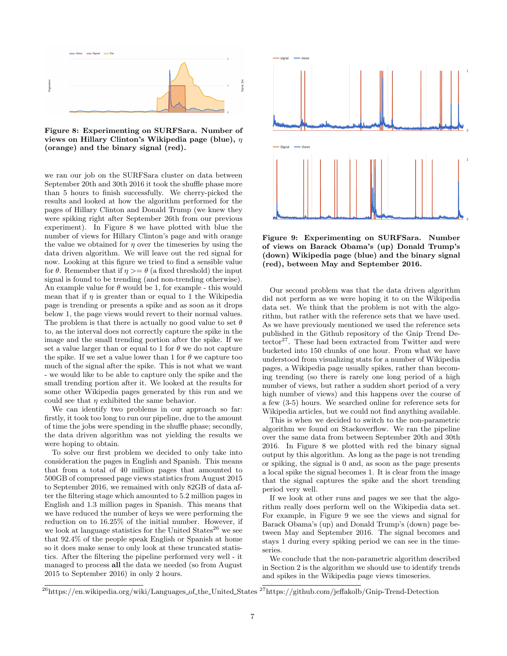

Figure 8: Experimenting on SURFSara. Number of views on Hillary Clinton's Wikipedia page (blue),  $\eta$ (orange) and the binary signal (red).

we ran our job on the SURFSara cluster on data between September 20th and 30th 2016 it took the shuffle phase more than 5 hours to finish successfully. We cherry-picked the results and looked at how the algorithm performed for the pages of Hillary Clinton and Donald Trump (we knew they were spiking right after September 26th from our previous experiment). In Figure 8 we have plotted with blue the number of views for Hillary Clinton's page and with orange the value we obtained for  $\eta$  over the timeseries by using the data driven algorithm. We will leave out the red signal for now. Looking at this figure we tried to find a sensible value for  $\theta$ . Remember that if  $\eta \geq \theta$  (a fixed threshold) the input signal is found to be trending (and non-trending otherwise). An example value for  $\theta$  would be 1, for example - this would mean that if  $\eta$  is greater than or equal to 1 the Wikipedia page is trending or presents a spike and as soon as it drops below 1, the page views would revert to their normal values. The problem is that there is actually no good value to set  $\theta$ to, as the interval does not correctly capture the spike in the image and the small trending portion after the spike. If we set a value larger than or equal to 1 for  $\theta$  we do not capture the spike. If we set a value lower than 1 for  $\theta$  we capture too much of the signal after the spike. This is not what we want - we would like to be able to capture only the spike and the small trending portion after it. We looked at the results for some other Wikipedia pages generated by this run and we could see that  $\eta$  exhibited the same behavior.

We can identify two problems in our approach so far: firstly, it took too long to run our pipeline, due to the amount of time the jobs were spending in the shuffle phase; secondly, the data driven algorithm was not yielding the results we were hoping to obtain.

To solve our first problem we decided to only take into consideration the pages in English and Spanish. This means that from a total of 40 million pages that amounted to 500GB of compressed page views statistics from August 2015 to September 2016, we remained with only 82GB of data after the filtering stage which amounted to 5.2 million pages in English and 1.3 million pages in Spanish. This means that we have reduced the number of keys we were performing the reduction on to 16.25% of the initial number. However, if we look at language statistics for the United States<sup>26</sup> we see that 92.4% of the people speak English or Spanish at home so it does make sense to only look at these truncated statistics. After the filtering the pipeline performed very well - it managed to process all the data we needed (so from August 2015 to September 2016) in only 2 hours.



Figure 9: Experimenting on SURFSara. Number of views on Barack Obama's (up) Donald Trump's (down) Wikipedia page (blue) and the binary signal (red), between May and September 2016.

Our second problem was that the data driven algorithm did not perform as we were hoping it to on the Wikipedia data set. We think that the problem is not with the algorithm, but rather with the reference sets that we have used. As we have previously mentioned we used the reference sets published in the Github repository of the Gnip Trend Detector<sup>27</sup>. These had been extracted from Twitter and were bucketed into 150 chunks of one hour. From what we have understood from visualizing stats for a number of Wikipedia pages, a Wikipedia page usually spikes, rather than becoming trending (so there is rarely one long period of a high number of views, but rather a sudden short period of a very high number of views) and this happens over the course of a few (3-5) hours. We searched online for reference sets for Wikipedia articles, but we could not find anything available.

This is when we decided to switch to the non-parametric algorithm we found on Stackoverflow. We ran the pipeline over the same data from between September 20th and 30th 2016. In Figure 8 we plotted with red the binary signal output by this algorithm. As long as the page is not trending or spiking, the signal is 0 and, as soon as the page presents a local spike the signal becomes 1. It is clear from the image that the signal captures the spike and the short trending period very well.

If we look at other runs and pages we see that the algorithm really does perform well on the Wikipedia data set. For example, in Figure 9 we see the views and signal for Barack Obama's (up) and Donald Trump's (down) page between May and September 2016. The signal becomes and stays 1 during every spiking period we can see in the timeseries.

We conclude that the non-parametric algorithm described in Section 2 is the algorithm we should use to identify trends and spikes in the Wikipedia page views timeseries.

 $^{26}$ https://en.wikipedia.org/wiki/Languages\_of\_the\_United\_States  $^{27}$ https://github.com/jeffakolb/Gnip-Trend-Detection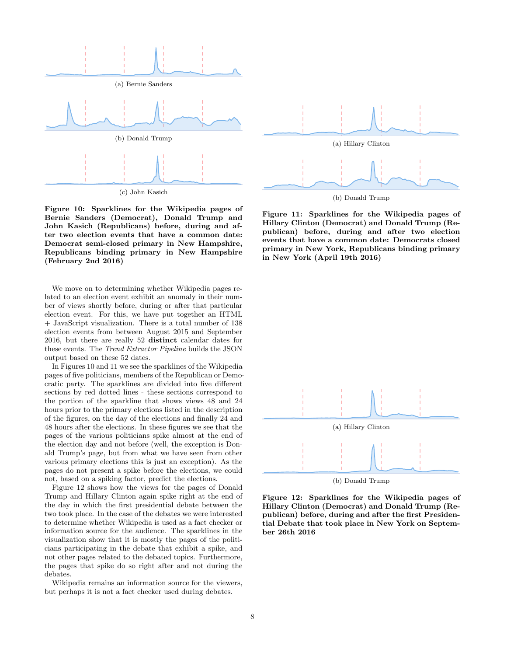

(c) John Kasich

Figure 10: Sparklines for the Wikipedia pages of Bernie Sanders (Democrat), Donald Trump and John Kasich (Republicans) before, during and after two election events that have a common date: Democrat semi-closed primary in New Hampshire, Republicans binding primary in New Hampshire (February 2nd 2016)

We move on to determining whether Wikipedia pages related to an election event exhibit an anomaly in their number of views shortly before, during or after that particular election event. For this, we have put together an HTML + JavaScript visualization. There is a total number of 138 election events from between August 2015 and September 2016, but there are really 52 distinct calendar dates for these events. The Trend Extractor Pipeline builds the JSON output based on these 52 dates.

In Figures 10 and 11 we see the sparklines of the Wikipedia pages of five politicians, members of the Republican or Democratic party. The sparklines are divided into five different sections by red dotted lines - these sections correspond to the portion of the sparkline that shows views 48 and 24 hours prior to the primary elections listed in the description of the figures, on the day of the elections and finally 24 and 48 hours after the elections. In these figures we see that the pages of the various politicians spike almost at the end of the election day and not before (well, the exception is Donald Trump's page, but from what we have seen from other various primary elections this is just an exception). As the pages do not present a spike before the elections, we could not, based on a spiking factor, predict the elections.

Figure 12 shows how the views for the pages of Donald Trump and Hillary Clinton again spike right at the end of the day in which the first presidential debate between the two took place. In the case of the debates we were interested to determine whether Wikipedia is used as a fact checker or information source for the audience. The sparklines in the visualization show that it is mostly the pages of the politicians participating in the debate that exhibit a spike, and not other pages related to the debated topics. Furthermore, the pages that spike do so right after and not during the debates.

Wikipedia remains an information source for the viewers, but perhaps it is not a fact checker used during debates.



Figure 11: Sparklines for the Wikipedia pages of Hillary Clinton (Democrat) and Donald Trump (Republican) before, during and after two election events that have a common date: Democrats closed primary in New York, Republicans binding primary in New York (April 19th 2016)



Figure 12: Sparklines for the Wikipedia pages of Hillary Clinton (Democrat) and Donald Trump (Republican) before, during and after the first Presidential Debate that took place in New York on September 26th 2016